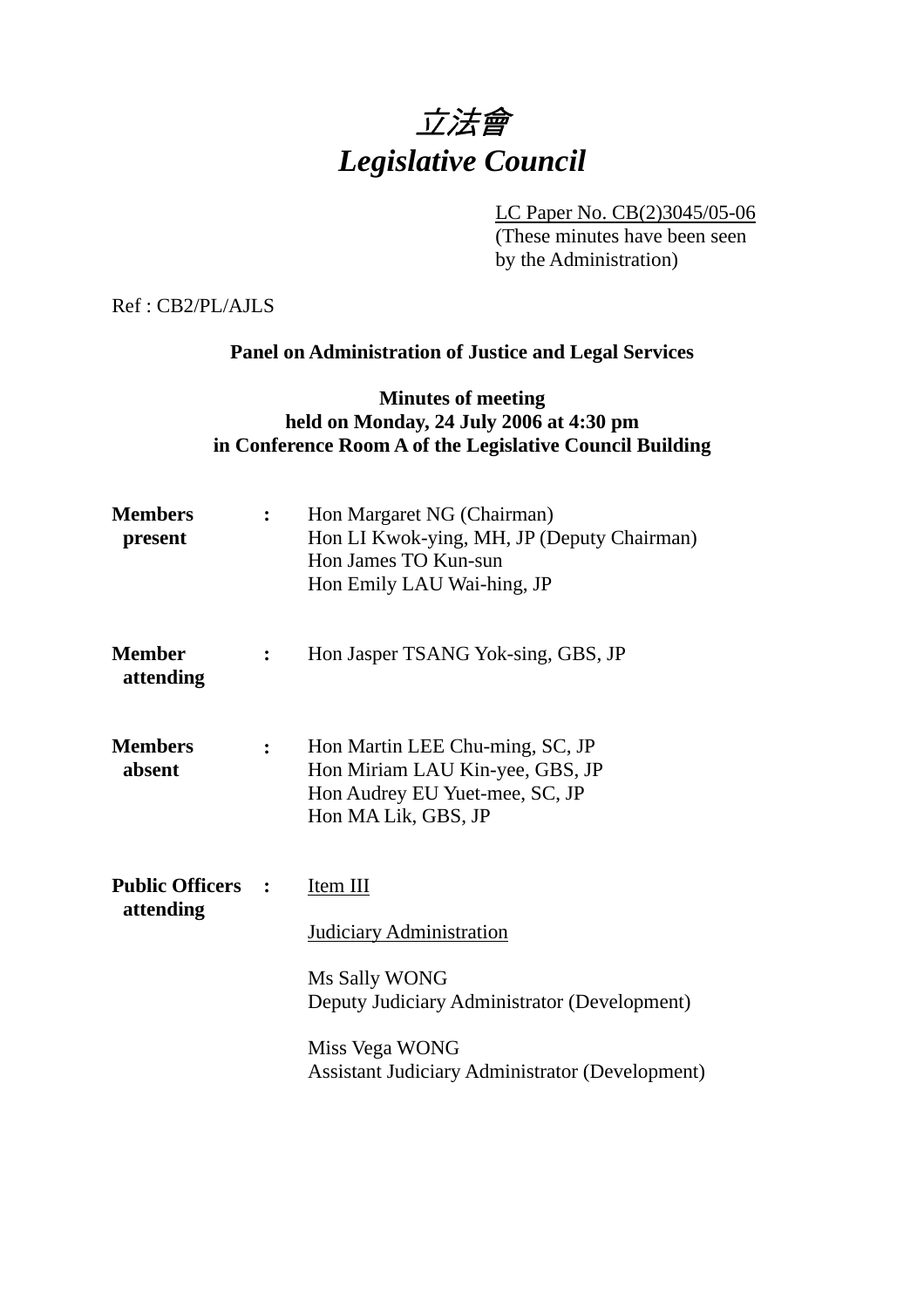# 立法會 *Legislative Council*

LC Paper No. CB(2)3045/05-06 (These minutes have been seen by the Administration)

Ref : CB2/PL/AJLS

# **Panel on Administration of Justice and Legal Services**

## **Minutes of meeting held on Monday, 24 July 2006 at 4:30 pm in Conference Room A of the Legislative Council Building**

| <b>Members</b><br>present             | $\ddot{\cdot}$ | Hon Margaret NG (Chairman)<br>Hon LI Kwok-ying, MH, JP (Deputy Chairman)<br>Hon James TO Kun-sun<br>Hon Emily LAU Wai-hing, JP                                                    |
|---------------------------------------|----------------|-----------------------------------------------------------------------------------------------------------------------------------------------------------------------------------|
| <b>Member</b><br>attending            | $\ddot{\cdot}$ | Hon Jasper TSANG Yok-sing, GBS, JP                                                                                                                                                |
| <b>Members</b><br>absent              | $\mathbf{L}$   | Hon Martin LEE Chu-ming, SC, JP<br>Hon Miriam LAU Kin-yee, GBS, JP<br>Hon Audrey EU Yuet-mee, SC, JP<br>Hon MA Lik, GBS, JP                                                       |
| <b>Public Officers :</b><br>attending |                | Item III<br>Judiciary Administration<br>Ms Sally WONG<br>Deputy Judiciary Administrator (Development)<br>Miss Vega WONG<br><b>Assistant Judiciary Administrator (Development)</b> |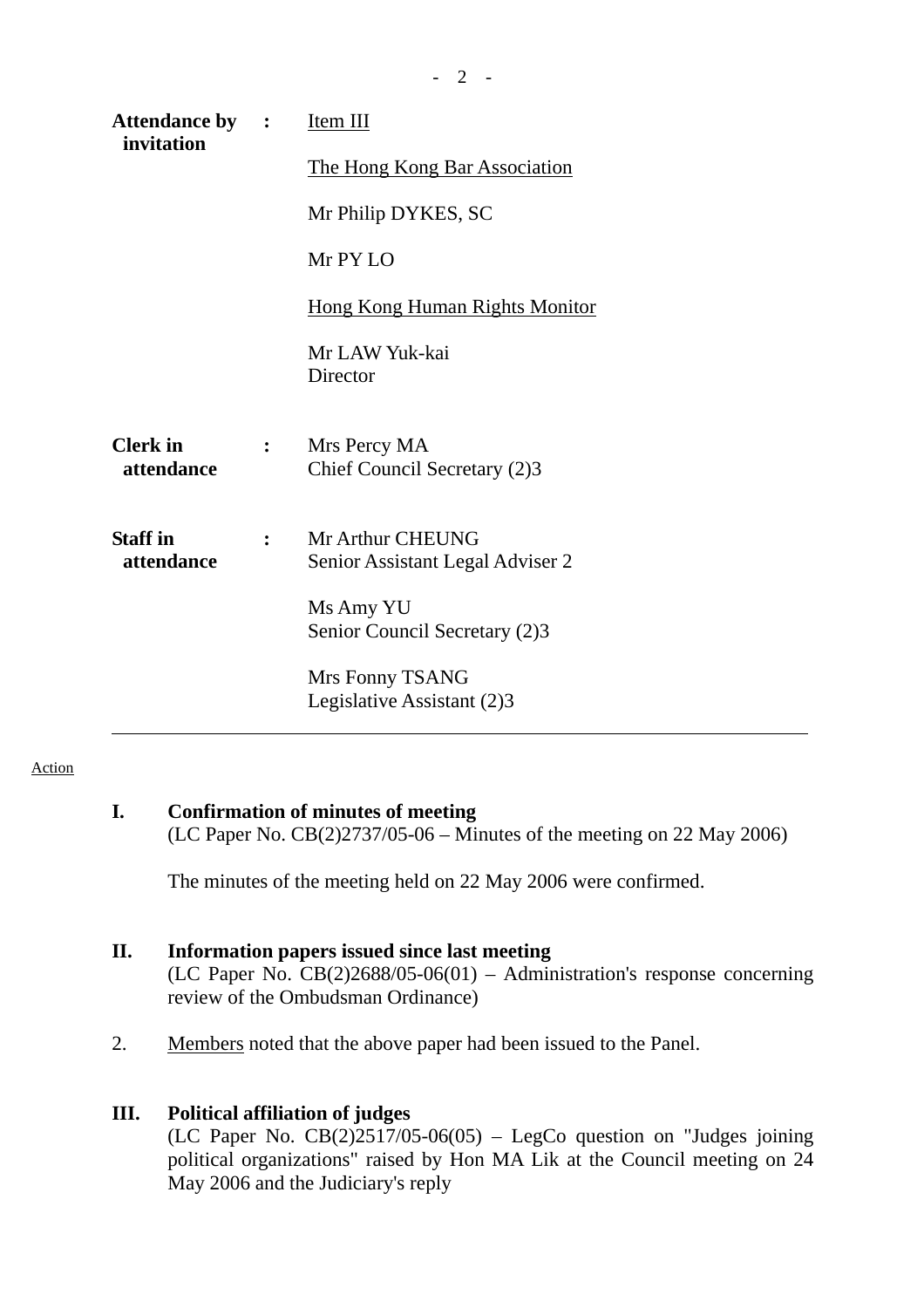| <b>Attendance by :</b><br>invitation |                | Item III                                             |
|--------------------------------------|----------------|------------------------------------------------------|
|                                      |                | The Hong Kong Bar Association                        |
|                                      |                | Mr Philip DYKES, SC                                  |
|                                      |                | Mr PY LO                                             |
|                                      |                | <b>Hong Kong Human Rights Monitor</b>                |
|                                      |                | Mr LAW Yuk-kai<br>Director                           |
| <b>Clerk</b> in<br>attendance        | $\ddot{\cdot}$ | Mrs Percy MA<br>Chief Council Secretary (2)3         |
| <b>Staff</b> in<br>attendance        |                | Mr Arthur CHEUNG<br>Senior Assistant Legal Adviser 2 |
|                                      |                | Ms Amy YU<br>Senior Council Secretary (2)3           |
|                                      |                | Mrs Fonny TSANG<br>Legislative Assistant (2)3        |

#### **Action**

# **I. Confirmation of minutes of meeting**

(LC Paper No. CB(2)2737/05-06 – Minutes of the meeting on 22 May 2006)

The minutes of the meeting held on 22 May 2006 were confirmed.

## **II. Information papers issued since last meeting**

(LC Paper No. CB(2)2688/05-06(01) – Administration's response concerning review of the Ombudsman Ordinance)

2. Members noted that the above paper had been issued to the Panel.

#### **III. Political affiliation of judges**

(LC Paper No.  $CB(2)2517/05-06(05)$  – LegCo question on "Judges joining political organizations" raised by Hon MA Lik at the Council meeting on 24 May 2006 and the Judiciary's reply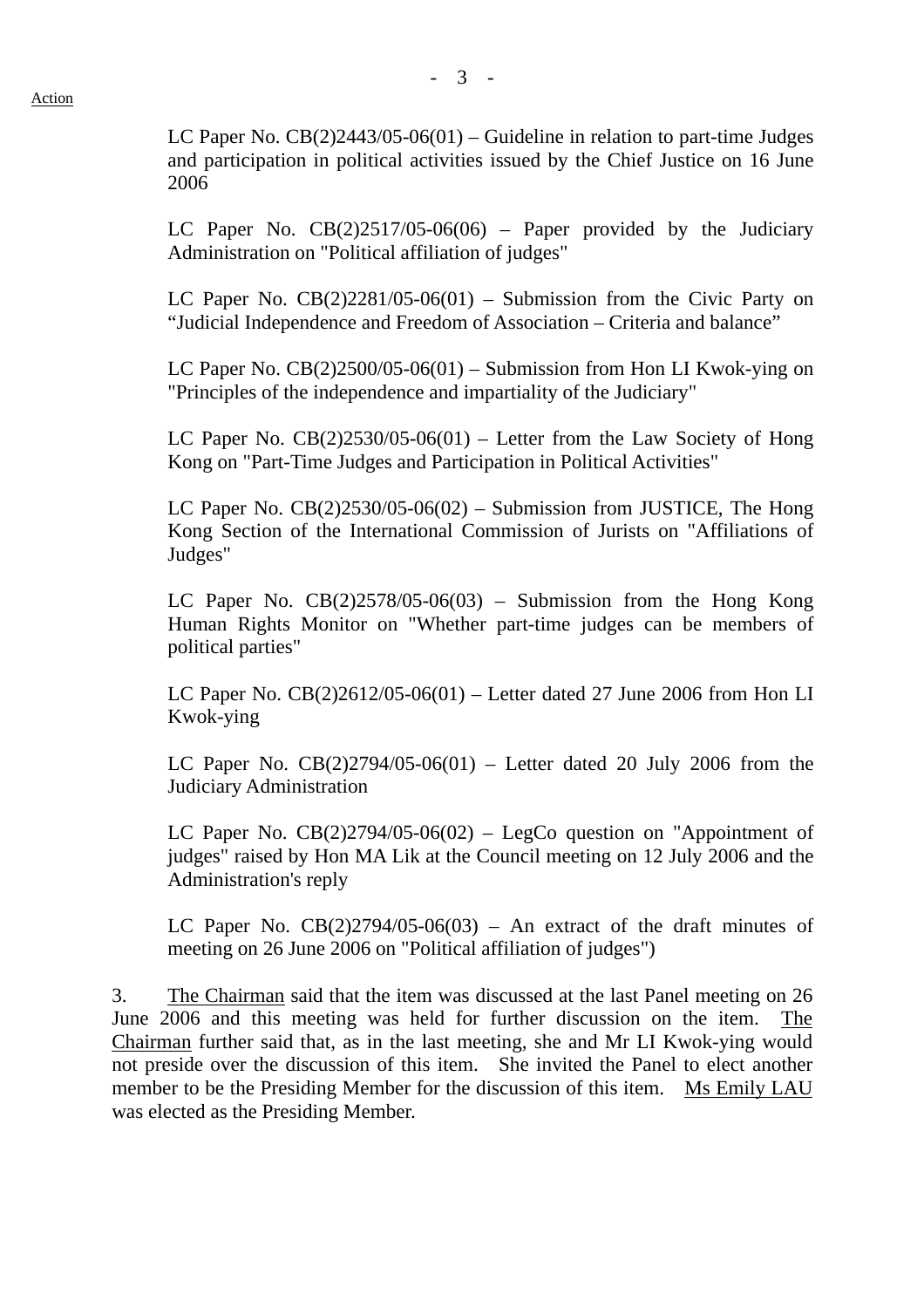LC Paper No.  $CB(2)2443/05-06(01)$  – Guideline in relation to part-time Judges and participation in political activities issued by the Chief Justice on 16 June 2006

LC Paper No.  $CB(2)2517/05-06(06)$  – Paper provided by the Judiciary Administration on "Political affiliation of judges"

LC Paper No.  $CB(2)2281/05-06(01)$  – Submission from the Civic Party on "Judicial Independence and Freedom of Association – Criteria and balance"

LC Paper No. CB(2)2500/05-06(01) – Submission from Hon LI Kwok-ying on "Principles of the independence and impartiality of the Judiciary"

LC Paper No.  $CB(2)2530/05-06(01)$  – Letter from the Law Society of Hong Kong on "Part-Time Judges and Participation in Political Activities"

LC Paper No. CB(2)2530/05-06(02) – Submission from JUSTICE, The Hong Kong Section of the International Commission of Jurists on "Affiliations of Judges"

LC Paper No. CB(2)2578/05-06(03) – Submission from the Hong Kong Human Rights Monitor on "Whether part-time judges can be members of political parties"

LC Paper No. CB(2)2612/05-06(01) – Letter dated 27 June 2006 from Hon LI Kwok-ying

LC Paper No.  $CB(2)2794/05-06(01)$  – Letter dated 20 July 2006 from the Judiciary Administration

LC Paper No.  $CB(2)2794/05-06(02)$  – LegCo question on "Appointment of judges" raised by Hon MA Lik at the Council meeting on 12 July 2006 and the Administration's reply

LC Paper No.  $CB(2)2794/05-06(03)$  – An extract of the draft minutes of meeting on 26 June 2006 on "Political affiliation of judges")

3. The Chairman said that the item was discussed at the last Panel meeting on 26 June 2006 and this meeting was held for further discussion on the item. The Chairman further said that, as in the last meeting, she and Mr LI Kwok-ying would not preside over the discussion of this item. She invited the Panel to elect another member to be the Presiding Member for the discussion of this item. Ms Emily LAU was elected as the Presiding Member.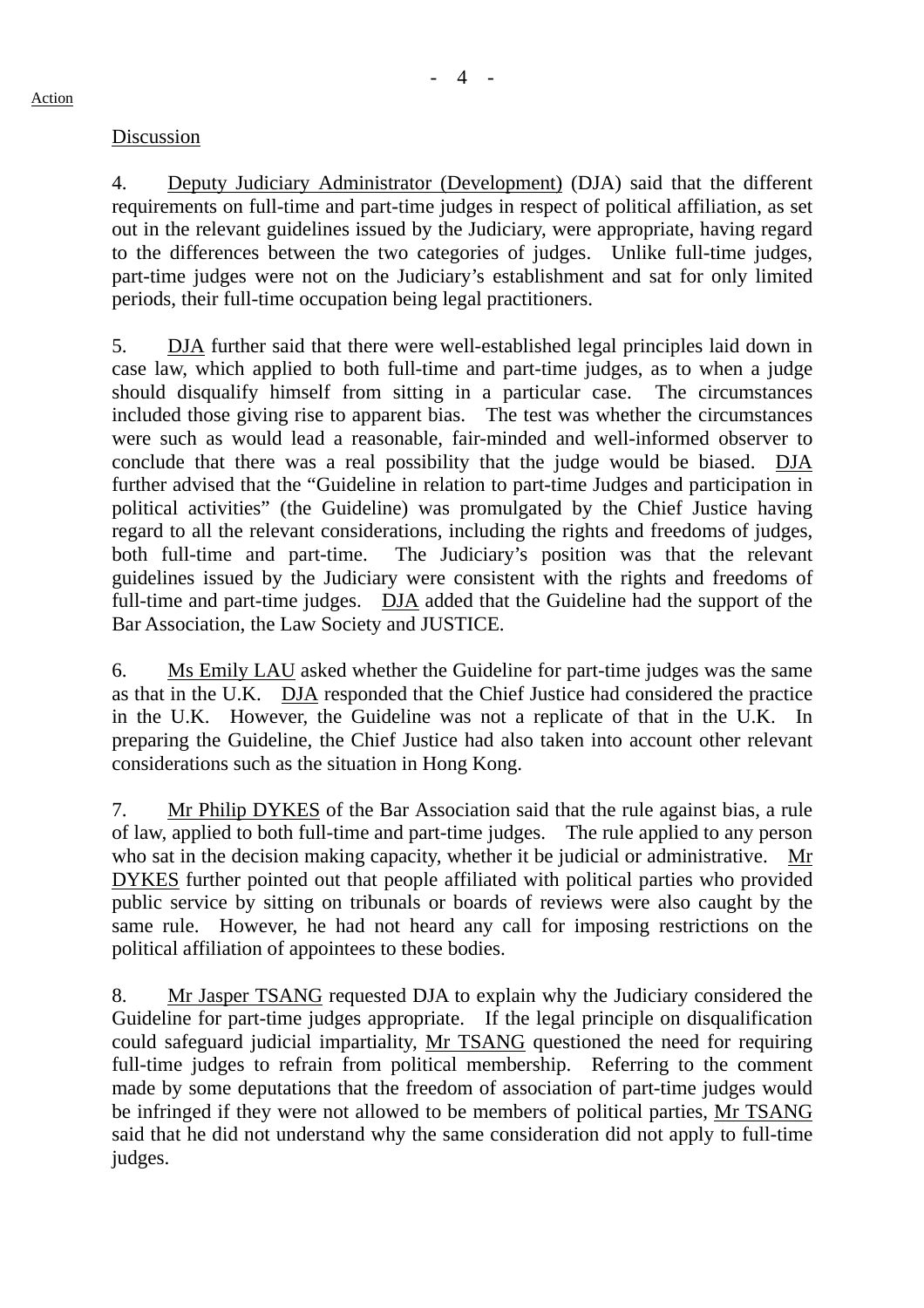#### Discussion

4. Deputy Judiciary Administrator (Development) (DJA) said that the different requirements on full-time and part-time judges in respect of political affiliation, as set out in the relevant guidelines issued by the Judiciary, were appropriate, having regard to the differences between the two categories of judges. Unlike full-time judges, part-time judges were not on the Judiciary's establishment and sat for only limited periods, their full-time occupation being legal practitioners.

5. DJA further said that there were well-established legal principles laid down in case law, which applied to both full-time and part-time judges, as to when a judge should disqualify himself from sitting in a particular case. The circumstances included those giving rise to apparent bias. The test was whether the circumstances were such as would lead a reasonable, fair-minded and well-informed observer to conclude that there was a real possibility that the judge would be biased. DJA further advised that the "Guideline in relation to part-time Judges and participation in political activities" (the Guideline) was promulgated by the Chief Justice having regard to all the relevant considerations, including the rights and freedoms of judges, both full-time and part-time. The Judiciary's position was that the relevant guidelines issued by the Judiciary were consistent with the rights and freedoms of full-time and part-time judges. DJA added that the Guideline had the support of the Bar Association, the Law Society and JUSTICE.

6. Ms Emily LAU asked whether the Guideline for part-time judges was the same as that in the U.K. DJA responded that the Chief Justice had considered the practice in the U.K. However, the Guideline was not a replicate of that in the U.K. In preparing the Guideline, the Chief Justice had also taken into account other relevant considerations such as the situation in Hong Kong.

7. Mr Philip DYKES of the Bar Association said that the rule against bias, a rule of law, applied to both full-time and part-time judges. The rule applied to any person who sat in the decision making capacity, whether it be judicial or administrative. Mr DYKES further pointed out that people affiliated with political parties who provided public service by sitting on tribunals or boards of reviews were also caught by the same rule. However, he had not heard any call for imposing restrictions on the political affiliation of appointees to these bodies.

8. Mr Jasper TSANG requested DJA to explain why the Judiciary considered the Guideline for part-time judges appropriate. If the legal principle on disqualification could safeguard judicial impartiality, Mr TSANG questioned the need for requiring full-time judges to refrain from political membership. Referring to the comment made by some deputations that the freedom of association of part-time judges would be infringed if they were not allowed to be members of political parties, Mr TSANG said that he did not understand why the same consideration did not apply to full-time judges.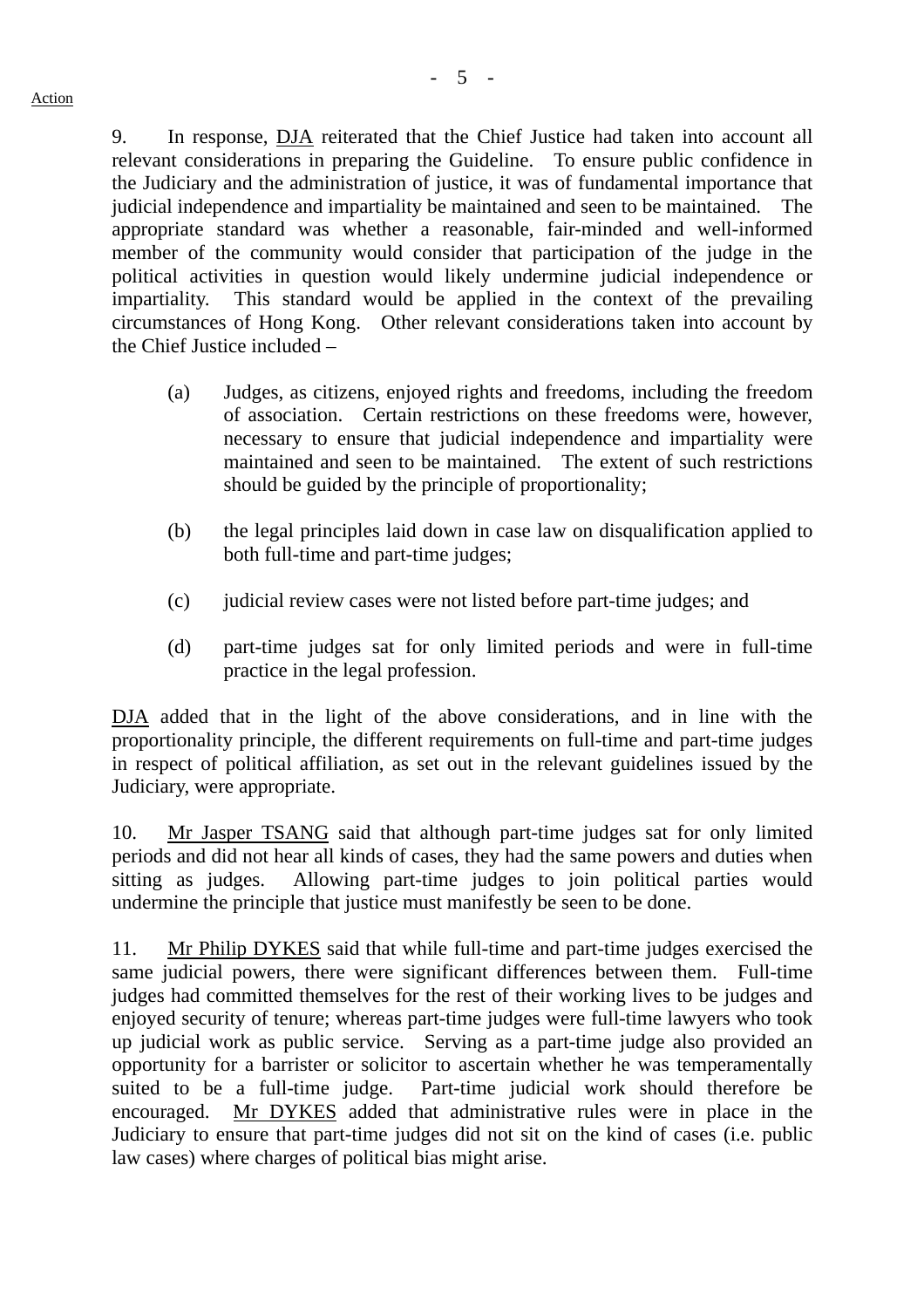9. In response, DJA reiterated that the Chief Justice had taken into account all relevant considerations in preparing the Guideline. To ensure public confidence in the Judiciary and the administration of justice, it was of fundamental importance that judicial independence and impartiality be maintained and seen to be maintained. The appropriate standard was whether a reasonable, fair-minded and well-informed member of the community would consider that participation of the judge in the political activities in question would likely undermine judicial independence or impartiality. This standard would be applied in the context of the prevailing circumstances of Hong Kong. Other relevant considerations taken into account by the Chief Justice included –

- (a) Judges, as citizens, enjoyed rights and freedoms, including the freedom of association. Certain restrictions on these freedoms were, however, necessary to ensure that judicial independence and impartiality were maintained and seen to be maintained. The extent of such restrictions should be guided by the principle of proportionality;
- (b) the legal principles laid down in case law on disqualification applied to both full-time and part-time judges;
- (c) judicial review cases were not listed before part-time judges; and
- (d) part-time judges sat for only limited periods and were in full-time practice in the legal profession.

DJA added that in the light of the above considerations, and in line with the proportionality principle, the different requirements on full-time and part-time judges in respect of political affiliation, as set out in the relevant guidelines issued by the Judiciary, were appropriate.

10. Mr Jasper TSANG said that although part-time judges sat for only limited periods and did not hear all kinds of cases, they had the same powers and duties when sitting as judges. Allowing part-time judges to join political parties would undermine the principle that justice must manifestly be seen to be done.

11. Mr Philip DYKES said that while full-time and part-time judges exercised the same judicial powers, there were significant differences between them. Full-time judges had committed themselves for the rest of their working lives to be judges and enjoyed security of tenure; whereas part-time judges were full-time lawyers who took up judicial work as public service. Serving as a part-time judge also provided an opportunity for a barrister or solicitor to ascertain whether he was temperamentally suited to be a full-time judge. Part-time judicial work should therefore be encouraged. Mr DYKES added that administrative rules were in place in the Judiciary to ensure that part-time judges did not sit on the kind of cases (i.e. public law cases) where charges of political bias might arise.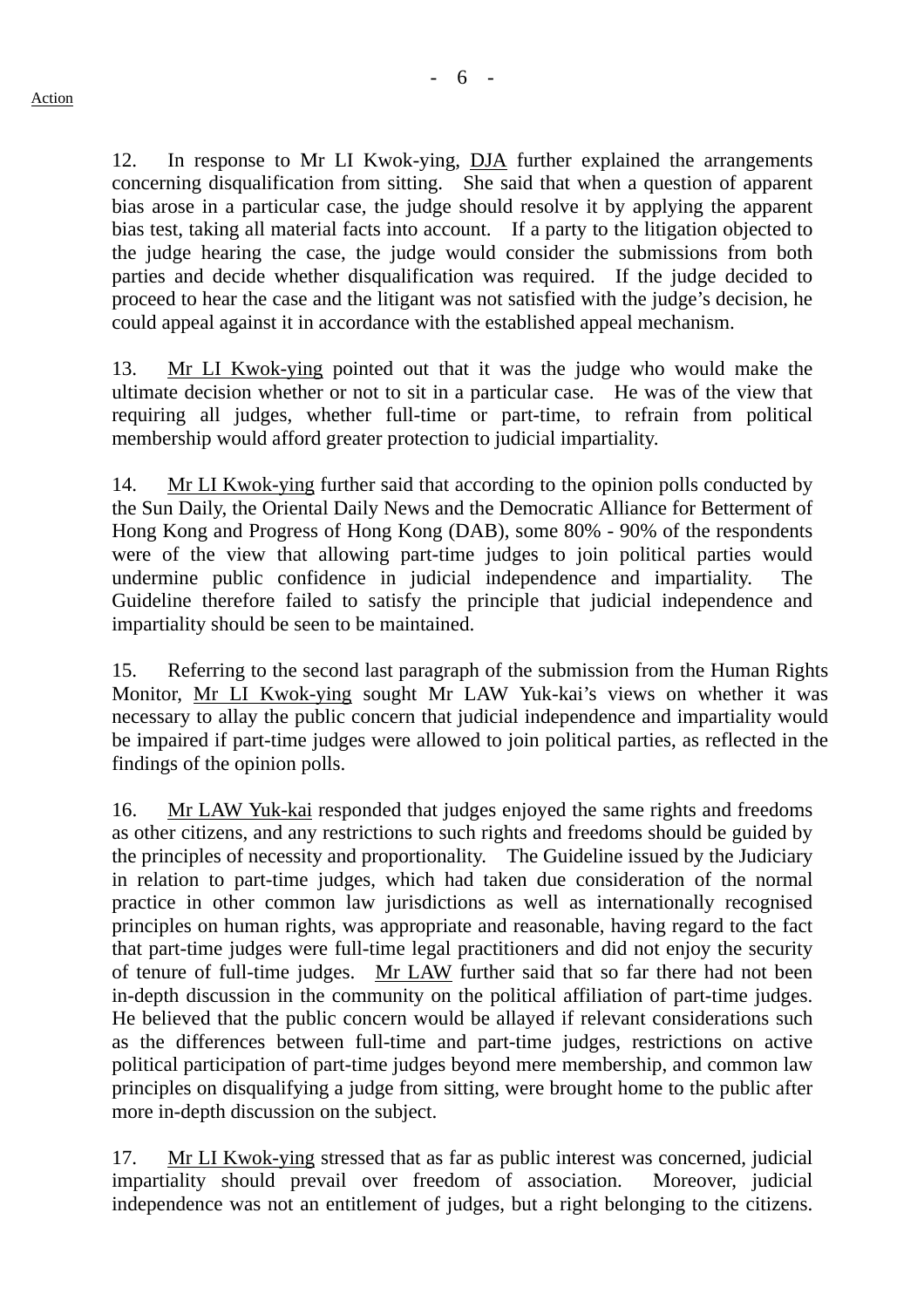12. In response to Mr LI Kwok-ying, DJA further explained the arrangements concerning disqualification from sitting. She said that when a question of apparent bias arose in a particular case, the judge should resolve it by applying the apparent bias test, taking all material facts into account. If a party to the litigation objected to the judge hearing the case, the judge would consider the submissions from both parties and decide whether disqualification was required. If the judge decided to proceed to hear the case and the litigant was not satisfied with the judge's decision, he could appeal against it in accordance with the established appeal mechanism.

13. Mr LI Kwok-ying pointed out that it was the judge who would make the ultimate decision whether or not to sit in a particular case. He was of the view that requiring all judges, whether full-time or part-time, to refrain from political membership would afford greater protection to judicial impartiality.

14. Mr LI Kwok-ying further said that according to the opinion polls conducted by the Sun Daily, the Oriental Daily News and the Democratic Alliance for Betterment of Hong Kong and Progress of Hong Kong (DAB), some 80% - 90% of the respondents were of the view that allowing part-time judges to join political parties would undermine public confidence in judicial independence and impartiality. The Guideline therefore failed to satisfy the principle that judicial independence and impartiality should be seen to be maintained.

15. Referring to the second last paragraph of the submission from the Human Rights Monitor, Mr LI Kwok-ying sought Mr LAW Yuk-kai's views on whether it was necessary to allay the public concern that judicial independence and impartiality would be impaired if part-time judges were allowed to join political parties, as reflected in the findings of the opinion polls.

16. Mr LAW Yuk-kai responded that judges enjoyed the same rights and freedoms as other citizens, and any restrictions to such rights and freedoms should be guided by the principles of necessity and proportionality. The Guideline issued by the Judiciary in relation to part-time judges, which had taken due consideration of the normal practice in other common law jurisdictions as well as internationally recognised principles on human rights, was appropriate and reasonable, having regard to the fact that part-time judges were full-time legal practitioners and did not enjoy the security of tenure of full-time judges. Mr LAW further said that so far there had not been in-depth discussion in the community on the political affiliation of part-time judges. He believed that the public concern would be allayed if relevant considerations such as the differences between full-time and part-time judges, restrictions on active political participation of part-time judges beyond mere membership, and common law principles on disqualifying a judge from sitting, were brought home to the public after more in-depth discussion on the subject.

17. Mr LI Kwok-ying stressed that as far as public interest was concerned, judicial impartiality should prevail over freedom of association. Moreover, judicial independence was not an entitlement of judges, but a right belonging to the citizens.